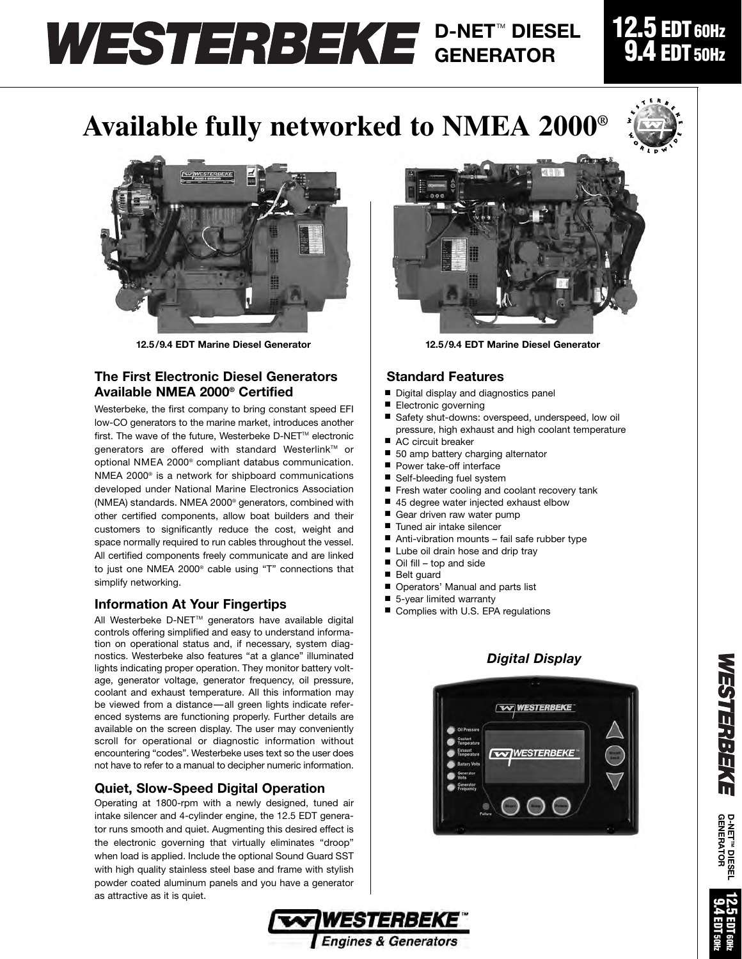## **D-NET<sup>™</sup> DIESEL GENERATOR**

### **12.5 EDT 60Hz**  $4$  EDT 50Hz

**W**

# **Available fully networked to NMEA 2000®**



**12.5/9.4 EDT Marine Diesel Generator 12.5/9.4 EDT Marine Diesel Generator**

#### **The First Electronic Diesel Generators Available NMEA 2000® Certified**

Westerbeke, the first company to bring constant speed EFI low-CO generators to the marine market, introduces another first. The wave of the future. Westerbeke D-NET™ electronic denerators are offered with standard Westerlink™ or optional NMEA 2000® compliant databus communication. NMEA 2000® is a network for shipboard communications developed under National Marine Electronics Association (NMEA) standards. NMEA 2000® generators, combined with other certified components, allow boat builders and their customers to significantly reduce the cost, weight and space normally required to run cables throughout the vessel. All certified components freely communicate and are linked to just one NMEA 2000® cable using "T" connections that simplify networking.

#### **Information At Your Fingertips**

All Westerbeke D-NET™ generators have available digital controls offering simplified and easy to understand information on operational status and, if necessary, system diagnostics. Westerbeke also features "at a glance" illuminated lights indicating proper operation. They monitor battery voltage, generator voltage, generator frequency, oil pressure, coolant and exhaust temperature. All this information may be viewed from a distance—all green lights indicate referenced systems are functioning properly. Further details are available on the screen display. The user may conveniently scroll for operational or diagnostic information without encountering "codes". Westerbeke uses text so the user does not have to refer to a manual to decipher numeric information.

#### **Quiet, Slow-Speed Digital Operation**

Operating at 1800-rpm with a newly designed, tuned air intake silencer and 4-cylinder engine, the 12.5 EDT generator runs smooth and quiet. Augmenting this desired effect is the electronic governing that virtually eliminates "droop" when load is applied. Include the optional Sound Guard SST with high quality stainless steel base and frame with stylish powder coated aluminum panels and you have a generator as attractive as it is quiet.



#### **Standard Features**

- Digital display and diagnostics panel
- Electronic governing
- Safety shut-downs: overspeed, underspeed, low oil pressure, high exhaust and high coolant temperature
- AC circuit breaker
- 50 amp battery charging alternator
- Power take-off interface
- Self-bleeding fuel system
- Fresh water cooling and coolant recovery tank
- 45 degree water injected exhaust elbow
- Gear driven raw water pump
- Tuned air intake silencer
- Anti-vibration mounts fail safe rubber type
- Lube oil drain hose and drip tray
- Oil fill top and side
- Belt guard
- Operators' Manual and parts list
- 5-year limited warranty
- Complies with U.S. EPA regulations

### *Digital Display*





**D-NETA D-NET™ DIESEL<br>GENERATOR GENERATOR**